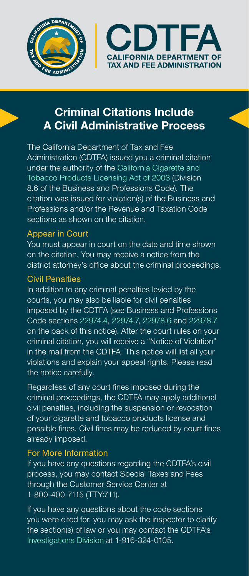



# Criminal Citations Include A Civil Administrative Process

The California Department of Tax and Fee Administration (CDTFA) issued you a criminal citation under the authority of the [California Cigarette and](http://www.cdtfa.ca.gov/lawguides/vol3/ctplal/cigarette-and-tobacco-products-licensing-act-law.html)  [Tobacco Products Licensing Act of 2003](http://www.cdtfa.ca.gov/lawguides/vol3/ctplal/cigarette-and-tobacco-products-licensing-act-law.html) (Division 8.6 of the Business and Professions Code). The citation was issued for violation(s) of the Business and Professions and/or the Revenue and Taxation Code sections as shown on the citation.

### Appear in Court

You must appear in court on the date and time shown on the citation. You may receive a notice from the district attorney's office about the criminal proceedings.

#### Civil Penalties

In addition to any criminal penalties levied by the courts, you may also be liable for civil penalties imposed by the CDTFA (see Business and Professions Code sections [22974.4](http://www.cdtfa.ca.gov/lawguides/vol3/ctplal/ctplal-22974-4.html), [22974.7](http://www.cdtfa.ca.gov/lawguides/vol3/ctplal/ctplal-22974-7.html), [22978.6](http://www.cdtfa.ca.gov/lawguides/vol3/ctplal/ctplal-22978-6.html) and [22978.7](http://www.cdtfa.ca.gov/lawguides/vol3/ctplal/ctplal-22978-7.html) on the back of this notice). After the court rules on your criminal citation, you will receive a "Notice of Violation" in the mail from the CDTFA. This notice will list all your violations and explain your appeal rights. Please read the notice carefully.

Regardless of any court fines imposed during the criminal proceedings, the CDTFA may apply additional civil penalties, including the suspension or revocation of your cigarette and tobacco products license and possible fines. Civil fines may be reduced by court fines already imposed.

## For More Information

If you have any questions regarding the CDTFA's civil process, you may contact Special Taxes and Fees through the Customer Service Center at 1-800-400-7115 (TTY:711).

If you have any questions about the code sections you were cited for, you may ask the inspector to clarify the section(s) of law or you may contact the CDTFA's  [Investigations Division](https://www.cdtfa.ca.gov/legal/#Investigations) at 1-916-324-0105.